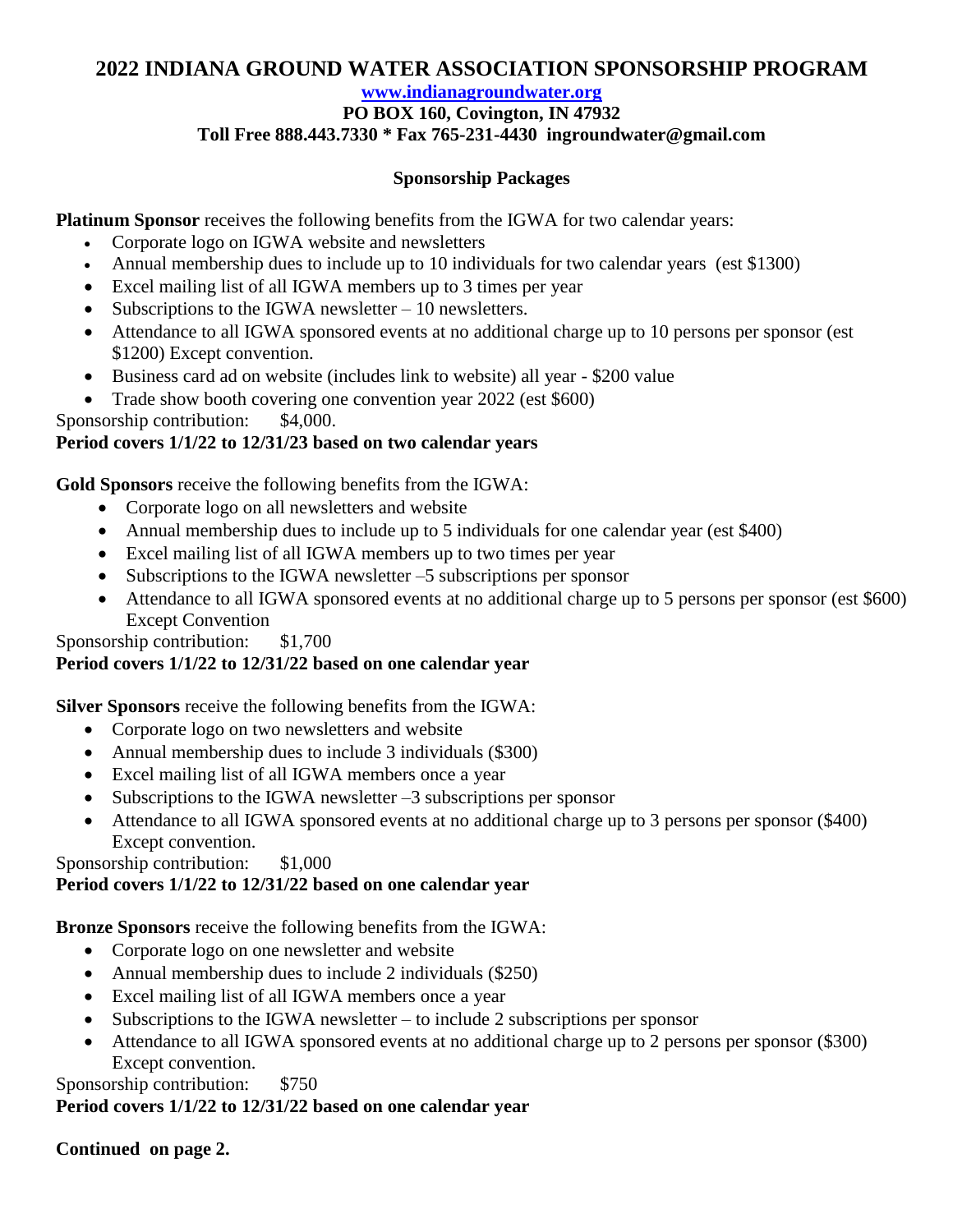# **2022 INDIANA GROUND WATER ASSOCIATION SPONSORSHIP PROGRAM**

#### **[www.indianagroundwater.org](http://www.indianagroundwater.org/)**

# **PO BOX 160, Covington, IN 47932**

## **Toll Free 888.443.7330 \* Fax 765-231-4430 ingroundwater@gmail.com**

#### **Sponsorship Packages**

**Platinum Sponsor** receives the following benefits from the IGWA for two calendar years:

- Corporate logo on IGWA website and newsletters
- Annual membership dues to include up to 10 individuals for two calendar years (est \$1300)
- Excel mailing list of all IGWA members up to 3 times per year
- Subscriptions to the IGWA newsletter 10 newsletters.
- Attendance to all IGWA sponsored events at no additional charge up to 10 persons per sponsor (est \$1200) Except convention.
- Business card ad on website (includes link to website) all year \$200 value
- Trade show booth covering one convention year 2022 (est \$600)
- Sponsorship contribution: \$4,000.

## **Period covers 1/1/22 to 12/31/23 based on two calendar years**

**Gold Sponsors** receive the following benefits from the IGWA:

- Corporate logo on all newsletters and website
- Annual membership dues to include up to 5 individuals for one calendar year (est \$400)
- Excel mailing list of all IGWA members up to two times per year
- Subscriptions to the IGWA newsletter –5 subscriptions per sponsor
- Attendance to all IGWA sponsored events at no additional charge up to 5 persons per sponsor (est \$600) Except Convention

Sponsorship contribution: \$1,700

### **Period covers 1/1/22 to 12/31/22 based on one calendar year**

**Silver Sponsors** receive the following benefits from the IGWA:

- Corporate logo on two newsletters and website
- Annual membership dues to include 3 individuals (\$300)
- Excel mailing list of all IGWA members once a year
- Subscriptions to the IGWA newsletter  $-3$  subscriptions per sponsor
- Attendance to all IGWA sponsored events at no additional charge up to 3 persons per sponsor (\$400) Except convention.

### Sponsorship contribution: \$1,000

## **Period covers 1/1/22 to 12/31/22 based on one calendar year**

**Bronze Sponsors** receive the following benefits from the IGWA:

- Corporate logo on one newsletter and website
- Annual membership dues to include 2 individuals (\$250)
- Excel mailing list of all IGWA members once a year
- $\bullet$  Subscriptions to the IGWA newsletter to include 2 subscriptions per sponsor
- Attendance to all IGWA sponsored events at no additional charge up to 2 persons per sponsor (\$300) Except convention.

Sponsorship contribution: \$750

### **Period covers 1/1/22 to 12/31/22 based on one calendar year**

### **Continued on page 2.**